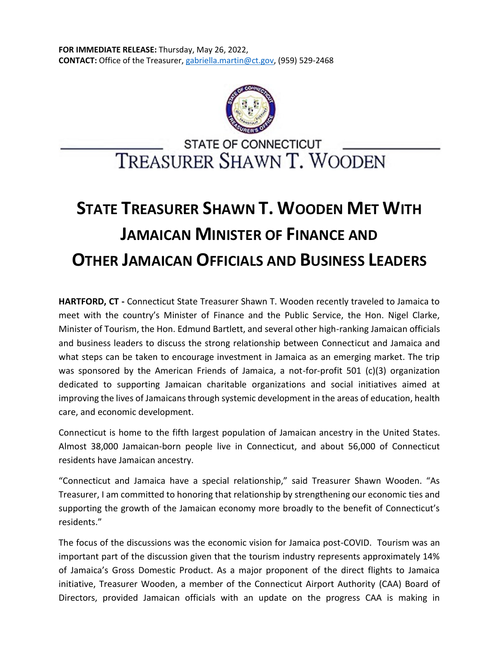

## **STATE OF CONNECTICUT** TREASURER SHAWN T. WOODEN

## **STATE TREASURER SHAWN T. WOODEN MET WITH JAMAICAN MINISTER OF FINANCE AND OTHER JAMAICAN OFFICIALS AND BUSINESS LEADERS**

**HARTFORD, CT -** Connecticut State Treasurer Shawn T. Wooden recently traveled to Jamaica to meet with the country's Minister of Finance and the Public Service, the Hon. Nigel Clarke, Minister of Tourism, the Hon. Edmund Bartlett, and several other high-ranking Jamaican officials and business leaders to discuss the strong relationship between Connecticut and Jamaica and what steps can be taken to encourage investment in Jamaica as an emerging market. The trip was sponsored by the American Friends of Jamaica, a not-for-profit 501 (c)(3) organization dedicated to supporting Jamaican charitable organizations and social initiatives aimed at improving the lives of Jamaicans through systemic development in the areas of education, health care, and economic development.

Connecticut is home to the fifth largest population of Jamaican ancestry in the United States. Almost 38,000 Jamaican-born people live in Connecticut, and about 56,000 of Connecticut residents have Jamaican ancestry.

"Connecticut and Jamaica have a special relationship," said Treasurer Shawn Wooden. "As Treasurer, I am committed to honoring that relationship by strengthening our economic ties and supporting the growth of the Jamaican economy more broadly to the benefit of Connecticut's residents."

The focus of the discussions was the economic vision for Jamaica post-COVID. Tourism was an important part of the discussion given that the tourism industry represents approximately 14% of Jamaica's Gross Domestic Product. As a major proponent of the direct flights to Jamaica initiative, Treasurer Wooden, a member of the Connecticut Airport Authority (CAA) Board of Directors, provided Jamaican officials with an update on the progress CAA is making in